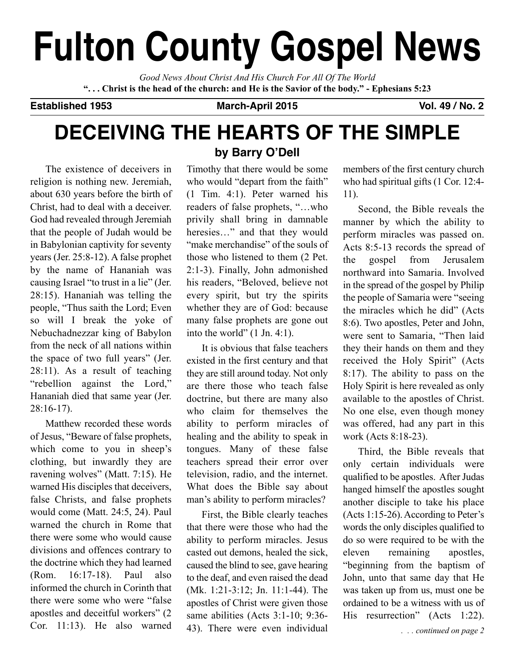# **fulton county gospel news**

*Good News About Christ And His Church For All Of The World* "... Christ is the head of the church: and He is the Savior of the body." - Ephesians 5:23

**established 1953 march-april 2015 vol. 49 / no. 2**

## **Deceiving the hearts of the simple**

The existence of deceivers in religion is nothing new. Jeremiah, about 630 years before the birth of Christ, had to deal with a deceiver. God had revealed through Jeremiah that the people of Judah would be in Babylonian captivity for seventy years (Jer. 25:8-12). A false prophet by the name of Hananiah was causing Israel "to trust in a lie" (Jer. 28:15). Hananiah was telling the people, "Thus saith the Lord; Even so will I break the yoke of Nebuchadnezzar king of Babylon from the neck of all nations within the space of two full years" (Jer. 28:11). As a result of teaching "rebellion against the Lord," Hananiah died that same year (Jer. 28:16-17).

Matthew recorded these words of Jesus, "Beware of false prophets, which come to you in sheep's clothing, but inwardly they are ravening wolves" (Matt. 7:15). He warned His disciples that deceivers, false Christs, and false prophets would come (Matt. 24:5, 24). Paul warned the church in Rome that there were some who would cause divisions and offences contrary to the doctrine which they had learned (Rom. 16:17-18). Paul also informed the church in Corinth that there were some who were "false apostles and deceitful workers" (2 Cor. 11:13). He also warned

## **by Barry o'Dell**

Timothy that there would be some who would "depart from the faith" (1 Tim. 4:1). Peter warned his readers of false prophets, "…who privily shall bring in damnable heresies…" and that they would "make merchandise" of the souls of those who listened to them (2 Pet. 2:1-3). Finally, John admonished his readers, "Beloved, believe not every spirit, but try the spirits whether they are of God: because many false prophets are gone out into the world" (1 Jn. 4:1).

It is obvious that false teachers existed in the first century and that they are still around today. Not only are there those who teach false doctrine, but there are many also who claim for themselves the ability to perform miracles of healing and the ability to speak in tongues. Many of these false teachers spread their error over television, radio, and the internet. What does the Bible say about man's ability to perform miracles?

First, the Bible clearly teaches that there were those who had the ability to perform miracles. Jesus casted out demons, healed the sick, caused the blind to see, gave hearing to the deaf, and even raised the dead (Mk. 1:21-3:12; Jn. 11:1-44). The apostles of Christ were given those same abilities (Acts 3:1-10; 9:36- 43). There were even individual members of the first century church who had spiritual gifts (1 Cor. 12:4- 11).

Second, the Bible reveals the manner by which the ability to perform miracles was passed on. Acts 8:5-13 records the spread of the gospel from Jerusalem northward into Samaria. Involved in the spread of the gospel by Philip the people of Samaria were "seeing the miracles which he did" (Acts 8:6). Two apostles, Peter and John, were sent to Samaria, "Then laid they their hands on them and they received the Holy Spirit" (Acts 8:17). The ability to pass on the Holy Spirit is here revealed as only available to the apostles of Christ. No one else, even though money was offered, had any part in this work (Acts 8:18-23).

Third, the Bible reveals that only certain individuals were qualified to be apostles. After Judas hanged himself the apostles sought another disciple to take his place (Acts 1:15-26).According to Peter's words the only disciples qualified to do so were required to be with the eleven remaining apostles, "beginning from the baptism of John, unto that same day that He was taken up from us, must one be ordained to be a witness with us of His resurrection" (Acts 1:22).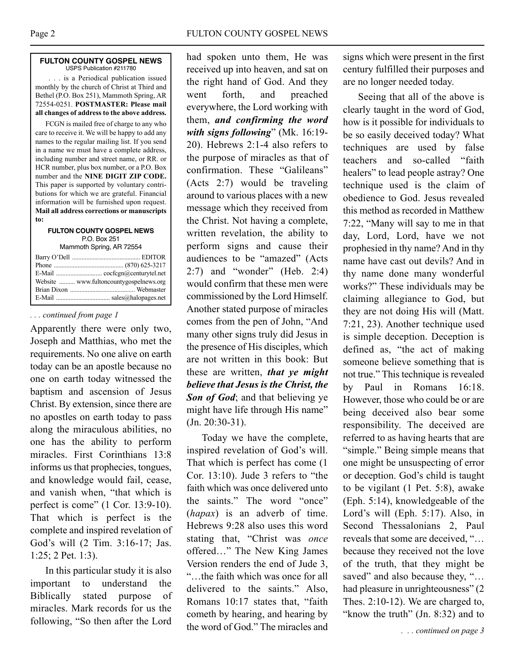### **fUlton coUntY gospel neWs** USPS Publication #211780

. . . is a Periodical publication issued monthly by the church of Christ at Third and Bethel (P.O. Box 251), Mammoth Spring, AR 72554-0251. **POSTMASTER: Please mail all changes of address to the above address.**

FCGN is mailed free of charge to any who care to receive it. We will be happy to add any names to the regular mailing list. If you send in a name we must have a complete address, including number and street name, or RR. or HCR number, plus box number, or a P.O. Box number and the **NINE DIGIT ZIP CODE.** This paper is supported by voluntary contributions for which we are grateful. Financial information will be furnished upon request. **Mail all address corrections or manuscripts to:**

#### **fUlton coUntY gospel neWs** P.O. Box 251 Mammoth Spring, AR 72554

| Website  www.fultoncountygospelnews.org |  |
|-----------------------------------------|--|
|                                         |  |
|                                         |  |

## *. . . continued from page 1*

Apparently there were only two, Joseph and Matthias, who met the requirements. No one alive on earth today can be an apostle because no one on earth today witnessed the baptism and ascension of Jesus Christ. By extension, since there are no apostles on earth today to pass along the miraculous abilities, no one has the ability to perform miracles. First Corinthians 13:8 informs us that prophecies, tongues, and knowledge would fail, cease, and vanish when, "that which is perfect is come" (1 Cor. 13:9-10). That which is perfect is the complete and inspired revelation of God's will (2 Tim. 3:16-17; Jas. 1:25; 2 Pet. 1:3).

In this particular study it is also important to understand the Biblically stated purpose of miracles. Mark records for us the following, "So then after the Lord had spoken unto them, He was received up into heaven, and sat on the right hand of God. And they went forth, and preached everywhere, the Lord working with them, *and confirming the word with signs following*" (Mk. 16:19- 20). Hebrews 2:1-4 also refers to the purpose of miracles as that of confirmation. These "Galileans" (Acts 2:7) would be traveling around to various places with a new message which they received from the Christ. Not having a complete, written revelation, the ability to perform signs and cause their audiences to be "amazed" (Acts 2:7) and "wonder" (Heb. 2:4) would confirm that these men were commissioned by the Lord Himself. Another stated purpose of miracles comes from the pen of John, "And many other signs truly did Jesus in the presence of His disciples, which are not written in this book: But these are written, *that ye might believe that Jesus is the Christ, the Son of God*; and that believing ye might have life through His name" (Jn. 20:30-31).

Today we have the complete, inspired revelation of God's will. That which is perfect has come (1 Cor. 13:10). Jude 3 refers to "the faith which was once delivered unto the saints." The word "once" (*hapax*) is an adverb of time. Hebrews 9:28 also uses this word stating that, "Christ was *once* offered…" The New King James Version renders the end of Jude 3, "…the faith which was once for all delivered to the saints." Also, Romans 10:17 states that, "faith cometh by hearing, and hearing by the word of God." The miracles and

signs which were present in the first century fulfilled their purposes and are no longer needed today.

Seeing that all of the above is clearly taught in the word of God, how is it possible for individuals to be so easily deceived today? What techniques are used by false teachers and so-called "faith healers" to lead people astray? One technique used is the claim of obedience to God. Jesus revealed this method as recorded in Matthew 7:22, "Many will say to me in that day, Lord, Lord, have we not prophesied in thy name? And in thy name have cast out devils? And in thy name done many wonderful works?" These individuals may be claiming allegiance to God, but they are not doing His will (Matt. 7:21, 23). Another technique used is simple deception. Deception is defined as, "the act of making someone believe something that is not true." This technique is revealed by Paul in Romans 16:18. However, those who could be or are being deceived also bear some responsibility. The deceived are referred to as having hearts that are "simple." Being simple means that one might be unsuspecting of error or deception. God's child is taught to be vigilant (1 Pet. 5:8), awake (Eph. 5:14), knowledgeable of the Lord's will (Eph. 5:17). Also, in Second Thessalonians 2, Paul reveals that some are deceived, "… because they received not the love of the truth, that they might be saved" and also because they, "... had pleasure in unrighteousness" (2) Thes. 2:10-12). We are charged to, "know the truth"  $(In. 8:32)$  and to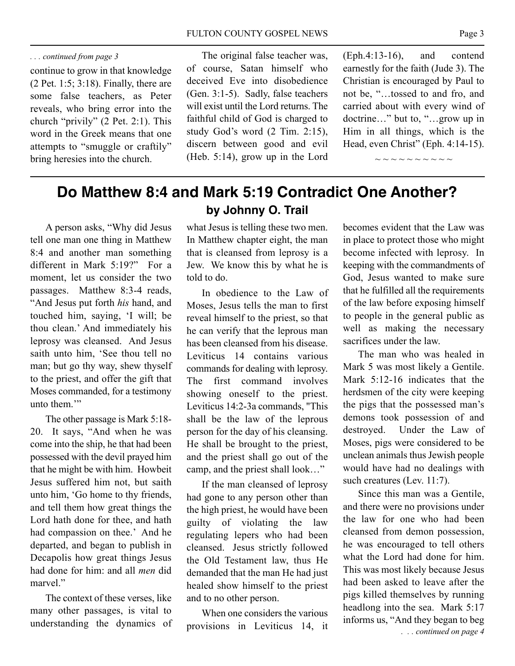continue to grow in that knowledge (2 Pet. 1:5; 3:18). Finally, there are some false teachers, as Peter reveals, who bring error into the church "privily" (2 Pet. 2:1). This word in the Greek means that one attempts to "smuggle or craftily" bring heresies into the church.

The original false teacher was, of course, Satan himself who deceived Eve into disobedience (Gen. 3:1-5). Sadly, false teachers will exist until the Lord returns. The faithful child of God is charged to study God's word (2 Tim. 2:15), discern between good and evil (Heb. 5:14), grow up in the Lord (Eph.4:13-16), and contend earnestly for the faith (Jude 3). The Christian is encouraged by Paul to not be, "…tossed to and fro, and carried about with every wind of doctrine…" but to, "…grow up in Him in all things, which is the Head, even Christ" (Eph. 4:14-15).

 $\sim$   $\sim$   $\sim$   $\sim$   $\sim$   $\sim$   $\sim$   $\sim$ 

## **Do matthew 8:4 and mark 5:19 contradict one another? by Johnny o. trail**

A person asks, "Why did Jesus tell one man one thing in Matthew 8:4 and another man something different in Mark 5:19?" For a moment, let us consider the two passages. Matthew 8:3-4 reads, "And Jesus put forth *his* hand, and touched him, saying, 'I will; be thou clean.' And immediately his leprosy was cleansed. And Jesus saith unto him, 'See thou tell no man; but go thy way, shew thyself to the priest, and offer the gift that Moses commanded, for a testimony unto them."

The other passage is Mark 5:18- 20. It says, "And when he was come into the ship, he that had been possessed with the devil prayed him that he might be with him. Howbeit Jesus suffered him not, but saith unto him, 'Go home to thy friends, and tell them how great things the Lord hath done for thee, and hath had compassion on thee.' And he departed, and began to publish in Decapolis how great things Jesus had done for him: and all *men* did marvel."

The context of these verses, like many other passages, is vital to understanding the dynamics of

what Jesus is telling these two men. In Matthew chapter eight, the man that is cleansed from leprosy is a Jew. We know this by what he is told to do.

In obedience to the Law of Moses, Jesus tells the man to first reveal himself to the priest, so that he can verify that the leprous man has been cleansed from his disease. Leviticus 14 contains various commands for dealing with leprosy. The first command involves showing oneself to the priest. Leviticus 14:2-3a commands, "This shall be the law of the leprous person for the day of his cleansing. He shall be brought to the priest, and the priest shall go out of the camp, and the priest shall look…"

If the man cleansed of leprosy had gone to any person other than the high priest, he would have been guilty of violating the law regulating lepers who had been cleansed. Jesus strictly followed the Old Testament law, thus He demanded that the man He had just healed show himself to the priest and to no other person.

When one considers the various provisions in Leviticus 14, it

becomes evident that the Law was in place to protect those who might become infected with leprosy. In keeping with the commandments of God, Jesus wanted to make sure that he fulfilled all the requirements of the law before exposing himself to people in the general public as well as making the necessary sacrifices under the law.

The man who was healed in Mark 5 was most likely a Gentile. Mark 5:12-16 indicates that the herdsmen of the city were keeping the pigs that the possessed man's demons took possession of and destroyed. Under the Law of Moses, pigs were considered to be unclean animals thus Jewish people would have had no dealings with such creatures (Lev. 11:7).

Since this man was a Gentile, and there were no provisions under the law for one who had been cleansed from demon possession, he was encouraged to tell others what the Lord had done for him. This was most likely because Jesus had been asked to leave after the pigs killed themselves by running headlong into the sea. Mark 5:17 informs us, "And they began to beg *. . . continued on page 4*